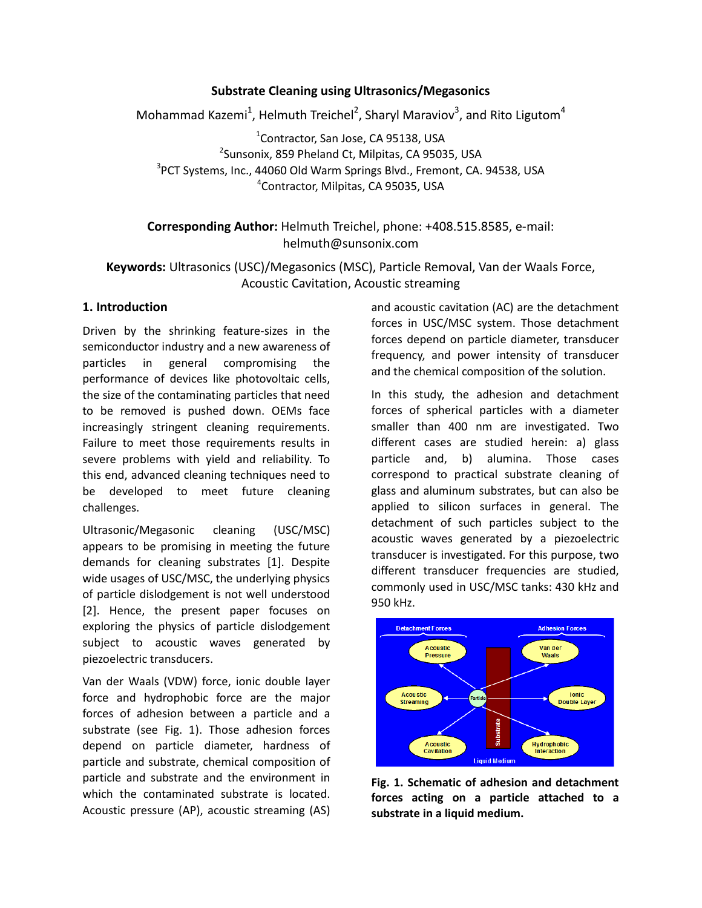## **Substrate Cleaning using Ultrasonics/Megasonics**

Mohammad Kazemi<sup>1</sup>, Helmuth Treichel<sup>2</sup>, Sharyl Maraviov<sup>3</sup>, and Rito Ligutom<sup>4</sup>

<sup>1</sup>Contractor, San Jose, CA 95138, USA <sup>2</sup>Sunsonix, 859 Pheland Ct, Milpitas, CA 95035, USA <sup>3</sup>PCT Systems, Inc., 44060 Old Warm Springs Blvd., Fremont, CA. 94538, USA 4 Contractor, Milpitas, CA 95035, USA

# **Corresponding Author:** Helmuth Treichel, phone: +408.515.8585, e-mail: helmuth@sunsonix.com

**Keywords:** Ultrasonics (USC)/Megasonics (MSC), Particle Removal, Van der Waals Force, Acoustic Cavitation, Acoustic streaming

## **1. Introduction**

Driven by the shrinking feature-sizes in the semiconductor industry and a new awareness of particles in general compromising the performance of devices like photovoltaic cells, the size of the contaminating particles that need to be removed is pushed down. OEMs face increasingly stringent cleaning requirements. Failure to meet those requirements results in severe problems with yield and reliability. To this end, advanced cleaning techniques need to be developed to meet future cleaning challenges.

Ultrasonic/Megasonic cleaning (USC/MSC) appears to be promising in meeting the future demands for cleaning substrates [1]. Despite wide usages of USC/MSC, the underlying physics of particle dislodgement is not well understood [2]. Hence, the present paper focuses on exploring the physics of particle dislodgement subject to acoustic waves generated by piezoelectric transducers.

Van der Waals (VDW) force, ionic double layer force and hydrophobic force are the major forces of adhesion between a particle and a substrate (see Fig. 1). Those adhesion forces depend on particle diameter, hardness of particle and substrate, chemical composition of particle and substrate and the environment in which the contaminated substrate is located. Acoustic pressure (AP), acoustic streaming (AS)

and acoustic cavitation (AC) are the detachment forces in USC/MSC system. Those detachment forces depend on particle diameter, transducer frequency, and power intensity of transducer and the chemical composition of the solution.

In this study, the adhesion and detachment forces of spherical particles with a diameter smaller than 400 nm are investigated. Two different cases are studied herein: a) glass particle and, b) alumina. Those cases correspond to practical substrate cleaning of glass and aluminum substrates, but can also be applied to silicon surfaces in general. The detachment of such particles subject to the acoustic waves generated by a piezoelectric transducer is investigated. For this purpose, two different transducer frequencies are studied, commonly used in USC/MSC tanks: 430 kHz and 950 kHz.



**Fig. 1. Schematic of adhesion and detachment forces acting on a particle attached to a substrate in a liquid medium.**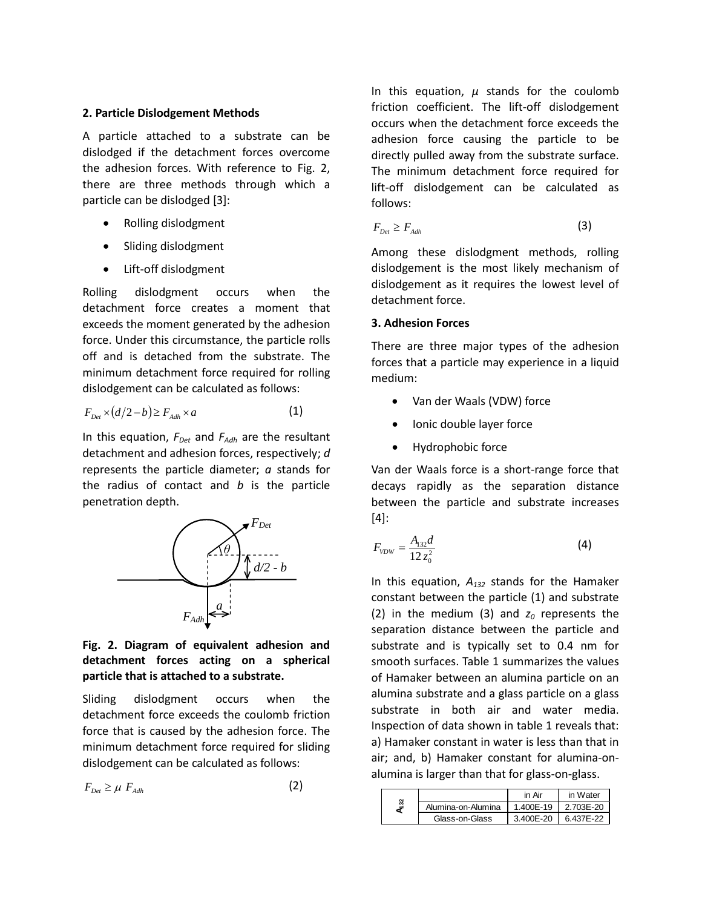#### **2. Particle Dislodgement Methods**

A particle attached to a substrate can be dislodged if the detachment forces overcome the adhesion forces. With reference to Fig. 2, there are three methods through which a particle can be dislodged [3]:

- Rolling dislodgment
- Sliding dislodgment
- Lift-off dislodgment

Rolling dislodgment occurs when the detachment force creates a moment that exceeds the moment generated by the adhesion force. Under this circumstance, the particle rolls off and is detached from the substrate. The minimum detachment force required for rolling dislodgement can be calculated as follows:

$$
F_{_{Det}} \times (d/2 - b) \ge F_{_{Adh}} \times a \tag{1}
$$

In this equation,  $F_{Det}$  and  $F_{Adh}$  are the resultant detachment and adhesion forces, respectively; *d* represents the particle diameter; *a* stands for the radius of contact and *b* is the particle penetration depth.



## **Fig. 2. Diagram of equivalent adhesion and detachment forces acting on a spherical particle that is attached to a substrate.**

Sliding dislodgment occurs when the detachment force exceeds the coulomb friction force that is caused by the adhesion force. The minimum detachment force required for sliding dislodgement can be calculated as follows:

$$
F_{Det} \ge \mu \ F_{Adh} \tag{2}
$$

In this equation,  $\mu$  stands for the coulomb friction coefficient. The lift-off dislodgement occurs when the detachment force exceeds the adhesion force causing the particle to be directly pulled away from the substrate surface. The minimum detachment force required for lift-off dislodgement can be calculated as follows:

$$
F_{Det} \ge F_{Adh} \tag{3}
$$

Among these dislodgment methods, rolling dislodgement is the most likely mechanism of dislodgement as it requires the lowest level of detachment force.

### **3. Adhesion Forces**

There are three major types of the adhesion forces that a particle may experience in a liquid medium:

- Van der Waals (VDW) force
- Ionic double layer force
- Hydrophobic force

Van der Waals force is a short-range force that decays rapidly as the separation distance between the particle and substrate increases [4]:

$$
F_{VDW} = \frac{A_{132}d}{12 z_0^2} \tag{4}
$$

In this equation, *A132* stands for the Hamaker constant between the particle (1) and substrate (2) in the medium (3) and  $z_0$  represents the separation distance between the particle and substrate and is typically set to 0.4 nm for smooth surfaces. Table 1 summarizes the values of Hamaker between an alumina particle on an alumina substrate and a glass particle on a glass substrate in both air and water media. Inspection of data shown in table 1 reveals that: a) Hamaker constant in water is less than that in air; and, b) Hamaker constant for alumina-onalumina is larger than that for glass-on-glass.

|  |                    | in Air    | in Water  |
|--|--------------------|-----------|-----------|
|  | Alumina-on-Alumina | 1.400E-19 | 2.703E-20 |
|  | Glass-on-Glass     | 3.400E-20 | 6.437E-22 |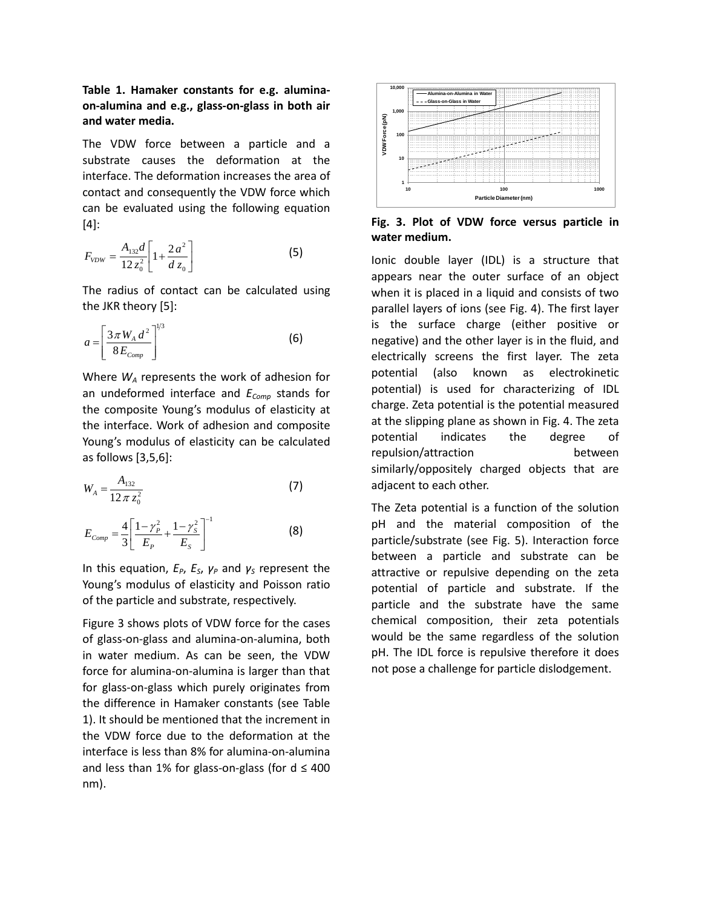**Table 1. Hamaker constants for e.g. aluminaon-alumina and e.g., glass-on-glass in both air and water media.**

The VDW force between a particle and a substrate causes the deformation at the interface. The deformation increases the area of contact and consequently the VDW force which can be evaluated using the following equation [4]:

$$
F_{VDW} = \frac{A_{132}d}{12 z_0^2} \left[ 1 + \frac{2a^2}{d z_0} \right]
$$
 (5)

The radius of contact can be calculated using the JKR theory [5]:

$$
a = \left[\frac{3\pi W_A d^2}{8E_{comp}}\right]^{1/3}
$$
 (6)

Where *WA* represents the work of adhesion for an undeformed interface and  $E_{Comp}$  stands for the composite Young's modulus of elasticity at the interface. Work of adhesion and composite Young's modulus of elasticity can be calculated as follows [3,5,6]:

$$
W_A = \frac{A_{132}}{12 \pi z_0^2} \tag{7}
$$

$$
E_{Comp} = \frac{4}{3} \left[ \frac{1 - \gamma_p^2}{E_p} + \frac{1 - \gamma_s^2}{E_s} \right]^{-1}
$$
 (8)

In this equation,  $E_P$ ,  $E_S$ ,  $γ_P$  and  $γ_S$  represent the Young's modulus of elasticity and Poisson ratio of the particle and substrate, respectively.

Figure 3 shows plots of VDW force for the cases of glass-on-glass and alumina-on-alumina, both in water medium. As can be seen, the VDW force for alumina-on-alumina is larger than that for glass-on-glass which purely originates from the difference in Hamaker constants (see Table 1). It should be mentioned that the increment in the VDW force due to the deformation at the interface is less than 8% for alumina-on-alumina and less than 1% for glass-on-glass (for  $d \leq 400$ nm).



**Fig. 3. Plot of VDW force versus particle in water medium.** 

Ionic double layer (IDL) is a structure that appears near the outer surface of an object when it is placed in a liquid and consists of two parallel layers of ions (see Fig. 4). The first layer is the surface charge (either positive or negative) and the other layer is in the fluid, and electrically screens the first layer. The zeta potential (also known as electrokinetic potential) is used for characterizing of IDL charge. Zeta potential is the potential measured at the slipping plane as shown in Fig. 4. The zeta potential indicates the degree of repulsion/attraction between similarly/oppositely charged objects that are adjacent to each other.

The Zeta potential is a function of the solution pH and the material composition of the particle/substrate (see Fig. 5). Interaction force between a particle and substrate can be attractive or repulsive depending on the zeta potential of particle and substrate. If the particle and the substrate have the same chemical composition, their zeta potentials would be the same regardless of the solution pH. The IDL force is repulsive therefore it does not pose a challenge for particle dislodgement.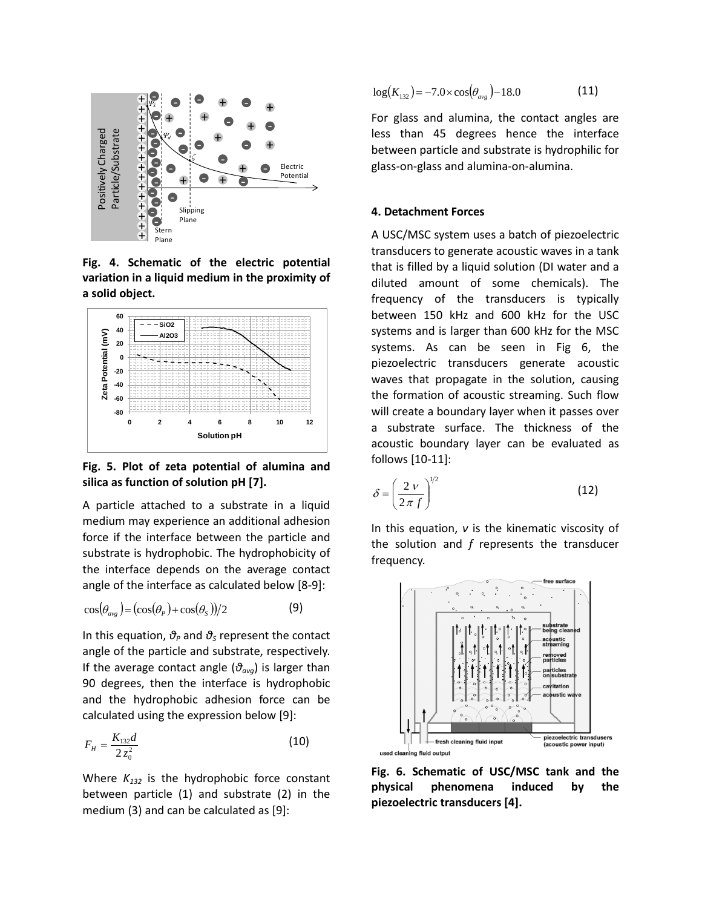

**Fig. 4. Schematic of the electric potential variation in a liquid medium in the proximity of a solid object.**



**Fig. 5. Plot of zeta potential of alumina and silica as function of solution pH [7].**

A particle attached to a substrate in a liquid medium may experience an additional adhesion force if the interface between the particle and substrate is hydrophobic. The hydrophobicity of the interface depends on the average contact angle of the interface as calculated below [8-9]:

$$
\cos(\theta_{\text{avg}}) = (\cos(\theta_P) + \cos(\theta_S))/2 \tag{9}
$$

In this equation, *θ<sup>P</sup>* and *θ<sup>S</sup>* represent the contact angle of the particle and substrate, respectively. If the average contact angle (*θavg*) is larger than 90 degrees, then the interface is hydrophobic and the hydrophobic adhesion force can be calculated using the expression below [9]:

$$
F_H = \frac{K_{132}d}{2 z_0^2} \tag{10}
$$

Where  $K_{132}$  is the hydrophobic force constant between particle (1) and substrate (2) in the medium (3) and can be calculated as [9]:

$$
\log(K_{132}) = -7.0 \times \cos(\theta_{avg}) - 18.0 \tag{11}
$$

For glass and alumina, the contact angles are less than 45 degrees hence the interface between particle and substrate is hydrophilic for glass-on-glass and alumina-on-alumina.

#### **4. Detachment Forces**

A USC/MSC system uses a batch of piezoelectric transducers to generate acoustic waves in a tank that is filled by a liquid solution (DI water and a diluted amount of some chemicals). The frequency of the transducers is typically between 150 kHz and 600 kHz for the USC systems and is larger than 600 kHz for the MSC systems. As can be seen in Fig 6, the piezoelectric transducers generate acoustic waves that propagate in the solution, causing the formation of acoustic streaming. Such flow will create a boundary layer when it passes over a substrate surface. The thickness of the acoustic boundary layer can be evaluated as follows [10-11]:

$$
\delta = \left(\frac{2\,\nu}{2\,\pi\,f}\right)^{1/2} \tag{12}
$$

In this equation, *ν* is the kinematic viscosity of the solution and *f* represents the transducer frequency.



**Fig. 6. Schematic of USC/MSC tank and the physical phenomena induced by the piezoelectric transducers [4].**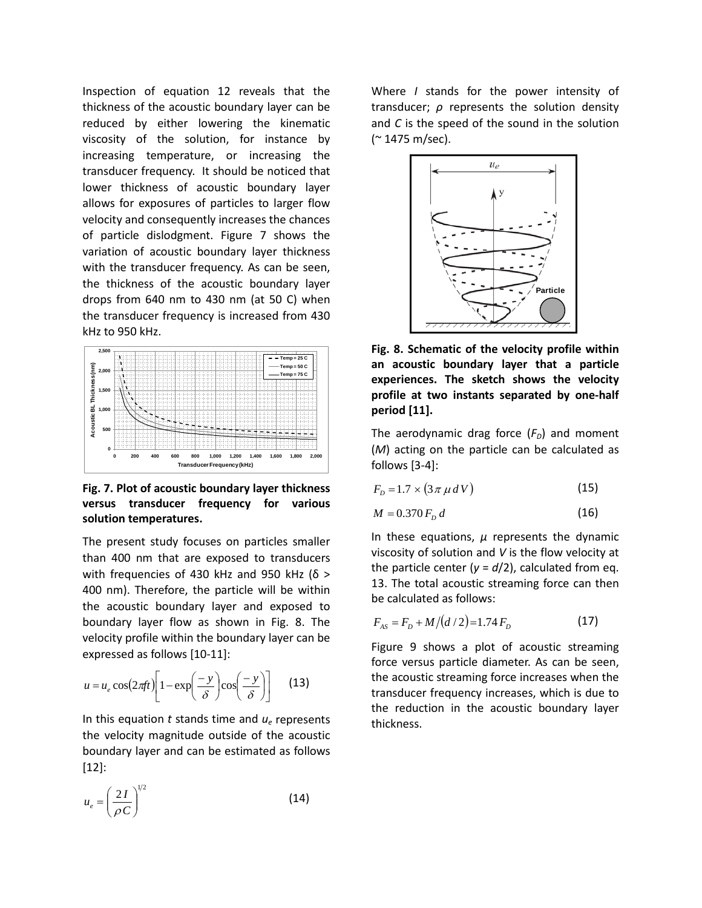Inspection of equation 12 reveals that the thickness of the acoustic boundary layer can be reduced by either lowering the kinematic viscosity of the solution, for instance by increasing temperature, or increasing the transducer frequency. It should be noticed that lower thickness of acoustic boundary layer allows for exposures of particles to larger flow velocity and consequently increases the chances of particle dislodgment. Figure 7 shows the variation of acoustic boundary layer thickness with the transducer frequency. As can be seen, the thickness of the acoustic boundary layer drops from 640 nm to 430 nm (at 50 C) when the transducer frequency is increased from 430 kHz to 950 kHz.



**Fig. 7. Plot of acoustic boundary layer thickness versus transducer frequency for various solution temperatures.**

The present study focuses on particles smaller than 400 nm that are exposed to transducers with frequencies of 430 kHz and 950 kHz ( $δ$  > 400 nm). Therefore, the particle will be within the acoustic boundary layer and exposed to boundary layer flow as shown in Fig. 8. The velocity profile within the boundary layer can be expressed as follows [10-11]:

$$
u = u_e \cos\left(2\pi f t\right) \left[1 - \exp\left(\frac{-y}{\delta}\right) \cos\left(\frac{-y}{\delta}\right)\right] \tag{13}
$$

In this equation *t* stands time and *ue* represents the velocity magnitude outside of the acoustic boundary layer and can be estimated as follows [12]:

$$
u_e = \left(\frac{2I}{\rho C}\right)^{1/2} \tag{14}
$$

Where *I* stands for the power intensity of transducer; *ρ* represents the solution density and *C* is the speed of the sound in the solution (~ 1475 m/sec).



**Fig. 8. Schematic of the velocity profile within an acoustic boundary layer that a particle experiences. The sketch shows the velocity profile at two instants separated by one-half period [11].**

The aerodynamic drag force  $(F_D)$  and moment (*M*) acting on the particle can be calculated as follows [3-4]:

$$
F_D = 1.7 \times (3 \pi \mu \, dV) \tag{15}
$$

$$
M = 0.370 F_D d \tag{16}
$$

In these equations, *µ* represents the dynamic viscosity of solution and *V* is the flow velocity at the particle center ( $y = d/2$ ), calculated from eq. 13. The total acoustic streaming force can then be calculated as follows:

$$
F_{AS} = F_D + M/(d/2) = 1.74 F_D \tag{17}
$$

Figure 9 shows a plot of acoustic streaming force versus particle diameter. As can be seen, the acoustic streaming force increases when the transducer frequency increases, which is due to the reduction in the acoustic boundary layer thickness.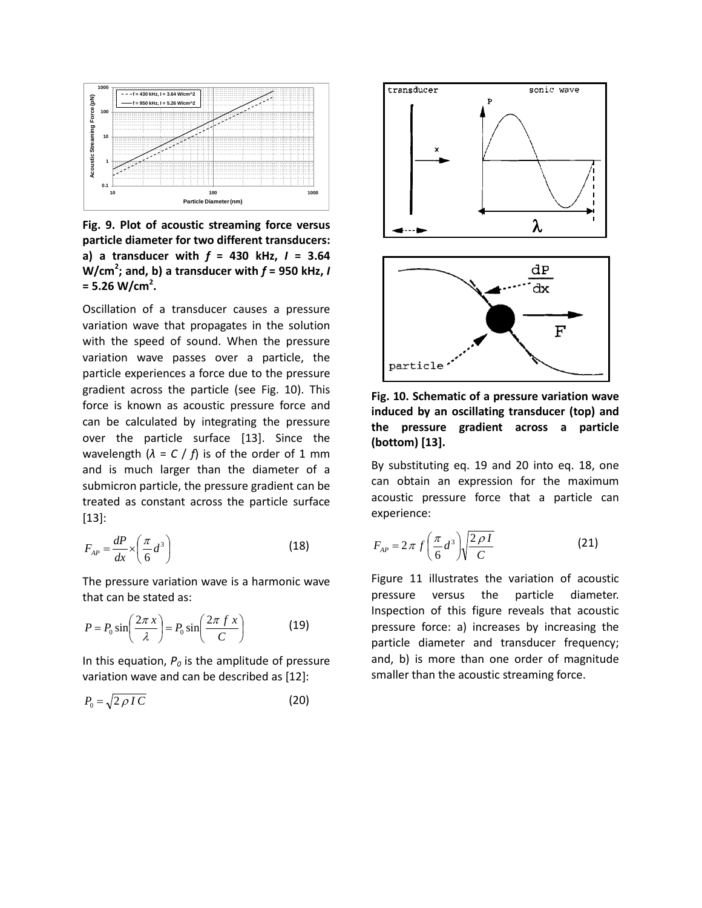

**Fig. 9. Plot of acoustic streaming force versus particle diameter for two different transducers: a) a transducer with** *f* **= 430 kHz,** *I* **= 3.64 W/cm<sup>2</sup> ; and, b) a transducer with** *f* **= 950 kHz,** *I* **= 5.26 W/cm<sup>2</sup> .**

Oscillation of a transducer causes a pressure variation wave that propagates in the solution with the speed of sound. When the pressure variation wave passes over a particle, the particle experiences a force due to the pressure gradient across the particle (see Fig. 10). This force is known as acoustic pressure force and can be calculated by integrating the pressure over the particle surface [13]. Since the wavelength  $(\lambda = C / f)$  is of the order of 1 mm and is much larger than the diameter of a submicron particle, the pressure gradient can be treated as constant across the particle surface [13]:

$$
F_{AP} = \frac{dP}{dx} \times \left(\frac{\pi}{6}d^3\right) \tag{18}
$$

The pressure variation wave is a harmonic wave that can be stated as:

$$
P = P_0 \sin\left(\frac{2\pi x}{\lambda}\right) = P_0 \sin\left(\frac{2\pi fx}{C}\right) \tag{19}
$$

In this equation,  $P_0$  is the amplitude of pressure variation wave and can be described as [12]:

$$
P_0 = \sqrt{2 \rho I C} \tag{20}
$$



**Fig. 10. Schematic of a pressure variation wave induced by an oscillating transducer (top) and the pressure gradient across a particle (bottom) [13].**

By substituting eq. 19 and 20 into eq. 18, one can obtain an expression for the maximum acoustic pressure force that a particle can experience:

$$
F_{AP} = 2\pi f \left(\frac{\pi}{6}d^3\right) \sqrt{\frac{2\rho I}{C}} \tag{21}
$$

Figure 11 illustrates the variation of acoustic pressure versus the particle diameter. Inspection of this figure reveals that acoustic pressure force: a) increases by increasing the particle diameter and transducer frequency; and, b) is more than one order of magnitude smaller than the acoustic streaming force.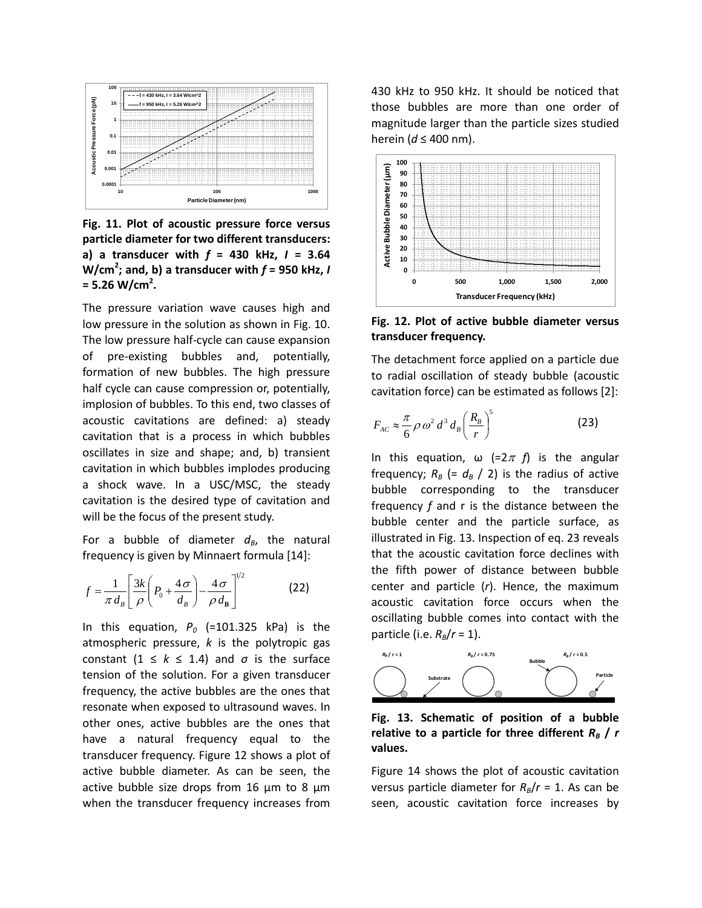

**Fig. 11. Plot of acoustic pressure force versus particle diameter for two different transducers: a) a transducer with** *f* **= 430 kHz,** *I* **= 3.64 W/cm<sup>2</sup> ; and, b) a transducer with** *f* **= 950 kHz,** *I* **= 5.26 W/cm<sup>2</sup> .**

The pressure variation wave causes high and low pressure in the solution as shown in Fig. 10. The low pressure half-cycle can cause expansion of pre-existing bubbles and, potentially, formation of new bubbles. The high pressure half cycle can cause compression or, potentially, implosion of bubbles. To this end, two classes of acoustic cavitations are defined: a) steady cavitation that is a process in which bubbles oscillates in size and shape; and, b) transient cavitation in which bubbles implodes producing a shock wave. In a USC/MSC, the steady cavitation is the desired type of cavitation and will be the focus of the present study.

For a bubble of diameter  $d_B$ , the natural frequency is given by Minnaert formula [14]:

$$
f = \frac{1}{\pi d_B} \left[ \frac{3k}{\rho} \left( P_0 + \frac{4\sigma}{d_B} \right) - \frac{4\sigma}{\rho d_B} \right]^{1/2}
$$
 (22)

In this equation,  $P_0$  (=101.325 kPa) is the atmospheric pressure, *k* is the polytropic gas constant  $(1 \leq k \leq 1.4)$  and  $\sigma$  is the surface tension of the solution. For a given transducer frequency, the active bubbles are the ones that resonate when exposed to ultrasound waves. In other ones, active bubbles are the ones that have a natural frequency equal to the transducer frequency. Figure 12 shows a plot of active bubble diameter. As can be seen, the active bubble size drops from 16  $\mu$ m to 8  $\mu$ m when the transducer frequency increases from 430 kHz to 950 kHz. It should be noticed that those bubbles are more than one order of magnitude larger than the particle sizes studied herein (*d* ≤ 400 nm).



**Fig. 12. Plot of active bubble diameter versus transducer frequency.** 

The detachment force applied on a particle due to radial oscillation of steady bubble (acoustic cavitation force) can be estimated as follows [2]:

$$
F_{AC} \approx \frac{\pi}{6} \rho \omega^2 d^3 d_B \left(\frac{R_B}{r}\right)^5 \tag{23}
$$

In this equation,  $\omega$  (=2 $\pi$  *f*) is the angular frequency;  $R_B$  (=  $d_B$  / 2) is the radius of active bubble corresponding to the transducer frequency *f* and r is the distance between the bubble center and the particle surface, as illustrated in Fig. 13. Inspection of eq. 23 reveals that the acoustic cavitation force declines with the fifth power of distance between bubble center and particle (*r*). Hence, the maximum acoustic cavitation force occurs when the oscillating bubble comes into contact with the particle (i.e.  $R_B/r = 1$ ).



**Fig. 13. Schematic of position of a bubble**  relative to a particle for three different  $R_B$  /  $r$ **values.**

Figure 14 shows the plot of acoustic cavitation versus particle diameter for  $R_B/r = 1$ . As can be seen, acoustic cavitation force increases by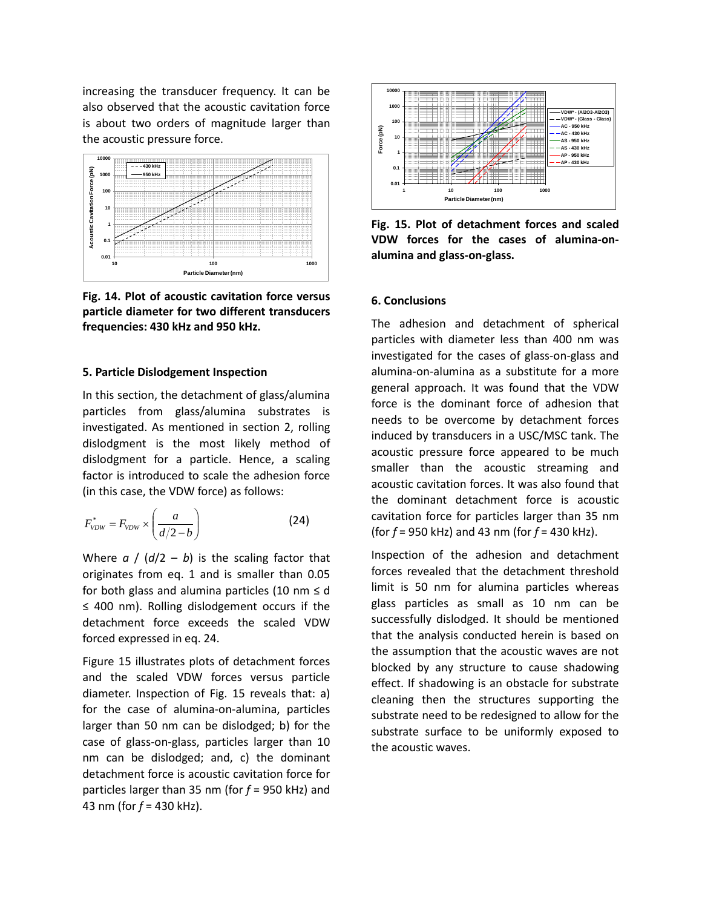increasing the transducer frequency. It can be also observed that the acoustic cavitation force is about two orders of magnitude larger than the acoustic pressure force.



**Fig. 14. Plot of acoustic cavitation force versus particle diameter for two different transducers frequencies: 430 kHz and 950 kHz.**

#### **5. Particle Dislodgement Inspection**

In this section, the detachment of glass/alumina particles from glass/alumina substrates is investigated. As mentioned in section 2, rolling dislodgment is the most likely method of dislodgment for a particle. Hence, a scaling factor is introduced to scale the adhesion force (in this case, the VDW force) as follows:

$$
F_{VDW}^* = F_{VDW} \times \left(\frac{a}{d/2 - b}\right) \tag{24}
$$

Where  $a / (d/2 - b)$  is the scaling factor that originates from eq. 1 and is smaller than 0.05 for both glass and alumina particles (10 nm  $\leq$  d ≤ 400 nm). Rolling dislodgement occurs if the detachment force exceeds the scaled VDW forced expressed in eq. 24.

Figure 15 illustrates plots of detachment forces and the scaled VDW forces versus particle diameter. Inspection of Fig. 15 reveals that: a) for the case of alumina-on-alumina, particles larger than 50 nm can be dislodged; b) for the case of glass-on-glass, particles larger than 10 nm can be dislodged; and, c) the dominant detachment force is acoustic cavitation force for particles larger than 35 nm (for *f* = 950 kHz) and 43 nm (for *f* = 430 kHz).



**Fig. 15. Plot of detachment forces and scaled VDW forces for the cases of alumina-onalumina and glass-on-glass.**

### **6. Conclusions**

The adhesion and detachment of spherical particles with diameter less than 400 nm was investigated for the cases of glass-on-glass and alumina-on-alumina as a substitute for a more general approach. It was found that the VDW force is the dominant force of adhesion that needs to be overcome by detachment forces induced by transducers in a USC/MSC tank. The acoustic pressure force appeared to be much smaller than the acoustic streaming and acoustic cavitation forces. It was also found that the dominant detachment force is acoustic cavitation force for particles larger than 35 nm (for *f* = 950 kHz) and 43 nm (for *f* = 430 kHz).

Inspection of the adhesion and detachment forces revealed that the detachment threshold limit is 50 nm for alumina particles whereas glass particles as small as 10 nm can be successfully dislodged. It should be mentioned that the analysis conducted herein is based on the assumption that the acoustic waves are not blocked by any structure to cause shadowing effect. If shadowing is an obstacle for substrate cleaning then the structures supporting the substrate need to be redesigned to allow for the substrate surface to be uniformly exposed to the acoustic waves.